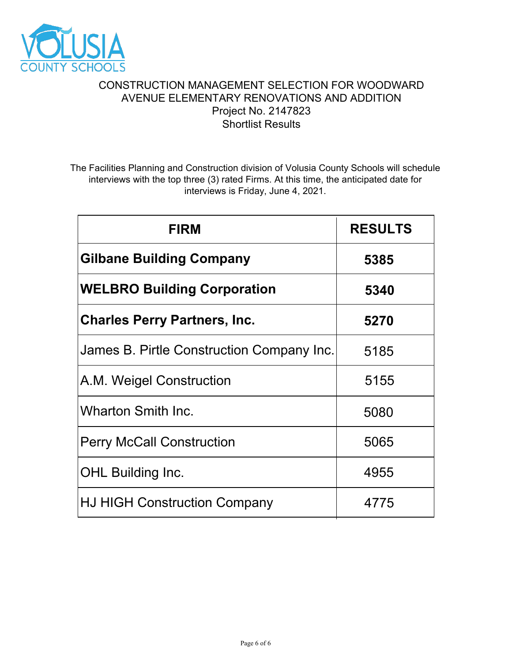

# CONSTRUCTION MANAGEMENT SELECTION FOR WOODWARD AVENUE ELEMENTARY RENOVATIONS AND ADDITION Project No. 2147823 Shortlist Results

The Facilities Planning and Construction division of Volusia County Schools will schedule interviews with the top three (3) rated Firms. At this time, the anticipated date for interviews is Friday, June 4, 2021.

| <b>FIRM</b>                               | <b>RESULTS</b> |
|-------------------------------------------|----------------|
| <b>Gilbane Building Company</b>           | 5385           |
| <b>WELBRO Building Corporation</b>        | 5340           |
| <b>Charles Perry Partners, Inc.</b>       | 5270           |
| James B. Pirtle Construction Company Inc. | 5185           |
| A.M. Weigel Construction                  | 5155           |
| <b>Wharton Smith Inc.</b>                 | 5080           |
| <b>Perry McCall Construction</b>          | 5065           |
| <b>OHL Building Inc.</b>                  | 4955           |
| <b>HJ HIGH Construction Company</b>       | 4775           |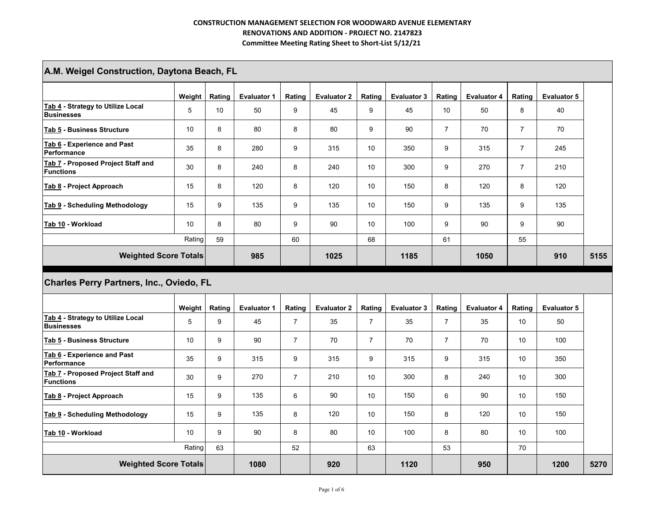| A.M. Weigel Construction, Daytona Beach, FL            |        |        |                    |                |                    |                 |                    |                |                    |                |                    |      |
|--------------------------------------------------------|--------|--------|--------------------|----------------|--------------------|-----------------|--------------------|----------------|--------------------|----------------|--------------------|------|
|                                                        | Weight | Rating | <b>Evaluator 1</b> | Rating         | <b>Evaluator 2</b> | Rating          | <b>Evaluator 3</b> | Rating         | <b>Evaluator 4</b> | Rating         | <b>Evaluator 5</b> |      |
| Tab 4 - Strategy to Utilize Local<br><b>Businesses</b> | 5      | 10     | 50                 | 9              | 45                 | 9               | 45                 | 10             | 50                 | 8              | 40                 |      |
| <b>Tab 5 - Business Structure</b>                      | 10     | 8      | 80                 | 8              | 80                 | 9               | 90                 | $\overline{7}$ | 70                 | $\overline{7}$ | 70                 |      |
| Tab 6 - Experience and Past<br>Performance             | 35     | 8      | 280                | 9              | 315                | 10              | 350                | 9              | 315                | $\overline{7}$ | 245                |      |
| Tab 7 - Proposed Project Staff and<br>Functions        | 30     | 8      | 240                | 8              | 240                | 10              | 300                | 9              | 270                | $\overline{7}$ | 210                |      |
| Tab 8 - Project Approach                               | 15     | 8      | 120                | 8              | 120                | 10 <sup>°</sup> | 150                | 8              | 120                | 8              | 120                |      |
| <b>Tab 9 - Scheduling Methodology</b>                  | 15     | 9      | 135                | 9              | 135                | 10              | 150                | 9              | 135                | 9              | 135                |      |
| Tab 10 - Workload                                      | 10     | 8      | 80                 | 9              | 90                 | 10              | 100                | 9              | 90                 | 9              | 90                 |      |
|                                                        | Rating | 59     |                    | 60             |                    | 68              |                    | 61             |                    | 55             |                    |      |
|                                                        |        |        | 985                |                | 1025               |                 | 1185               |                | 1050               |                | 910                | 5155 |
| <b>Weighted Score Totals</b>                           |        |        |                    |                |                    |                 |                    |                |                    |                |                    |      |
| Charles Perry Partners, Inc., Oviedo, FL               |        |        |                    |                |                    |                 |                    |                |                    |                |                    |      |
|                                                        | Weight | Rating | <b>Evaluator 1</b> | Rating         | <b>Evaluator 2</b> | Rating          | <b>Evaluator 3</b> | Rating         | <b>Evaluator 4</b> | Rating         | <b>Evaluator 5</b> |      |
| Tab 4 - Strategy to Utilize Local<br><b>Businesses</b> | 5      | 9      | 45                 | $\overline{7}$ | 35                 | $\overline{7}$  | 35                 | $\overline{7}$ | 35                 | 10             | 50                 |      |
| Tab 5 - Business Structure                             | 10     | 9      | 90                 | $\overline{7}$ | 70                 | $\overline{7}$  | 70                 | $\overline{7}$ | 70                 | 10             | 100                |      |
| Tab 6 - Experience and Past<br>Performance             | 35     | 9      | 315                | 9              | 315                | 9               | 315                | 9              | 315                | 10             | 350                |      |
| Tab 7 - Proposed Project Staff and<br><b>Functions</b> | 30     | 9      | 270                | $\overline{7}$ | 210                | 10              | 300                | 8              | 240                | 10             | 300                |      |
| Tab 8 - Project Approach                               | 15     | 9      | 135                | 6              | 90                 | 10              | 150                | 6              | 90                 | 10             | 150                |      |
| Tab 9 - Scheduling Methodology                         | 15     | 9      | 135                | 8              | 120                | 10              | 150                | 8              | 120                | 10             | 150                |      |
| Tab 10 - Workload                                      | 10     | 9      | 90                 | 8              | 80                 | 10              | 100                | 8              | 80                 | 10             | 100                |      |
|                                                        | Rating | 63     |                    | 52             |                    | 63              |                    | 53             |                    | 70             |                    |      |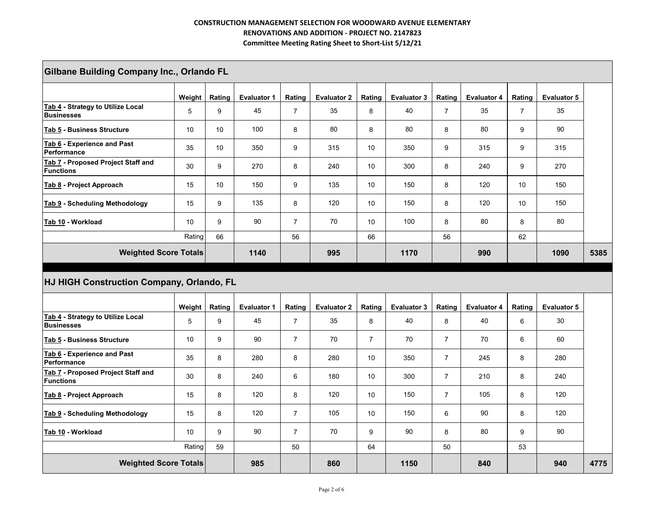|                                                        | <b>Gilbane Building Company Inc., Orlando FL</b> |                 |                    |                |                    |                |                    |                |                    |                |                    |      |  |  |
|--------------------------------------------------------|--------------------------------------------------|-----------------|--------------------|----------------|--------------------|----------------|--------------------|----------------|--------------------|----------------|--------------------|------|--|--|
|                                                        | Weight                                           | Rating          | <b>Evaluator 1</b> | Rating         | <b>Evaluator 2</b> | Rating         | <b>Evaluator 3</b> | Rating         | <b>Evaluator 4</b> | Rating         | <b>Evaluator 5</b> |      |  |  |
| Tab 4 - Strategy to Utilize Local<br><b>Businesses</b> | 5                                                | 9               | 45                 | $\overline{7}$ | 35                 | 8              | 40                 | $\overline{7}$ | 35                 | $\overline{7}$ | 35                 |      |  |  |
| Tab 5 - Business Structure                             | 10                                               | 10 <sup>1</sup> | 100                | 8              | 80                 | 8              | 80                 | 8              | 80                 | 9              | 90                 |      |  |  |
| Tab 6 - Experience and Past<br>Performance             | 35                                               | 10 <sup>°</sup> | 350                | 9              | 315                | 10             | 350                | 9              | 315                | 9              | 315                |      |  |  |
| Tab 7 - Proposed Project Staff and<br><b>Functions</b> | 30                                               | 9               | 270                | 8              | 240                | 10             | 300                | 8              | 240                | 9              | 270                |      |  |  |
| Tab 8 - Project Approach                               | 15                                               | 10 <sup>°</sup> | 150                | 9              | 135                | 10             | 150                | 8              | 120                | 10             | 150                |      |  |  |
| Tab 9 - Scheduling Methodology                         | 15                                               | 9               | 135                | 8              | 120                | 10             | 150                | 8              | 120                | 10             | 150                |      |  |  |
| Tab 10 - Workload                                      | 10                                               | 9               | 90                 | $\overline{7}$ | 70                 | 10             | 100                | 8              | 80                 | 8              | 80                 |      |  |  |
|                                                        | Rating                                           | 66              |                    | 56             |                    | 66             |                    | 56             |                    | 62             |                    |      |  |  |
|                                                        |                                                  |                 |                    |                |                    |                | 1170               |                | 990                |                | 1090               | 5385 |  |  |
| <b>Weighted Score Totals</b>                           |                                                  |                 | 1140               |                | 995                |                |                    |                |                    |                |                    |      |  |  |
| HJ HIGH Construction Company, Orlando, FL              |                                                  |                 |                    |                |                    |                |                    |                |                    |                |                    |      |  |  |
|                                                        | Weight                                           | Rating          | <b>Evaluator 1</b> | Rating         | <b>Evaluator 2</b> | Rating         | <b>Evaluator 3</b> | Rating         | <b>Evaluator 4</b> | Rating         | <b>Evaluator 5</b> |      |  |  |
| Tab 4 - Strategy to Utilize Local<br><b>Businesses</b> | 5                                                | 9               | 45                 | $\overline{7}$ | 35                 | 8              | 40                 | 8              | 40                 | 6              | 30                 |      |  |  |
| Tab 5 - Business Structure                             | 10                                               | 9               | 90                 | $\overline{7}$ | 70                 | $\overline{7}$ | 70                 | $\overline{7}$ | 70                 | 6              | 60                 |      |  |  |
| Tab 6 - Experience and Past<br>Performance             | 35                                               | 8               | 280                | 8              | 280                | 10             | 350                | $\overline{7}$ | 245                | 8              | 280                |      |  |  |
| Tab 7 - Proposed Project Staff and<br><b>Functions</b> | 30                                               | 8               | 240                | 6              | 180                | 10             | 300                | $\overline{7}$ | 210                | 8              | 240                |      |  |  |
| Tab 8 - Project Approach                               | 15                                               | 8               | 120                | 8              | 120                | 10             | 150                | $\overline{7}$ | 105                | 8              | 120                |      |  |  |
| Tab 9 - Scheduling Methodology                         | 15                                               | 8               | 120                | $\overline{7}$ | 105                | 10             | 150                | 6              | 90                 | 8              | 120                |      |  |  |
| Tab 10 - Workload                                      | 10                                               | 9               | 90                 | $\overline{7}$ | 70                 | 9              | 90                 | 8              | 80                 | 9              | 90                 |      |  |  |
|                                                        | Rating                                           | 59              |                    | 50             |                    | 64             |                    | 50             |                    | 53             |                    |      |  |  |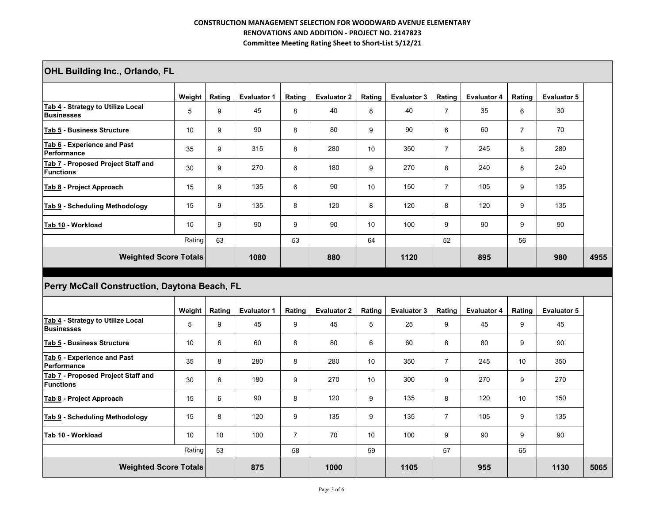| <b>OHL Building Inc., Orlando, FL</b>                  |        |                  |                    |                |                    |                 |                    |                |                    |                |                    |      |
|--------------------------------------------------------|--------|------------------|--------------------|----------------|--------------------|-----------------|--------------------|----------------|--------------------|----------------|--------------------|------|
|                                                        | Weight | Rating           | <b>Evaluator 1</b> | Rating         | <b>Evaluator 2</b> | Rating          | <b>Evaluator 3</b> | Rating         | <b>Evaluator 4</b> | Rating         | <b>Evaluator 5</b> |      |
| Tab 4 - Strategy to Utilize Local<br><b>Businesses</b> | 5      | $\boldsymbol{9}$ | 45                 | $\bf 8$        | 40                 | 8               | 40                 | $\overline{7}$ | 35                 | 6              | 30                 |      |
| Tab 5 - Business Structure                             | 10     | 9                | 90                 | 8              | 80                 | 9               | 90                 | 6              | 60                 | $\overline{7}$ | 70                 |      |
| Tab 6 - Experience and Past<br>Performance             | 35     | 9                | 315                | 8              | 280                | 10              | 350                | $\overline{7}$ | 245                | 8              | 280                |      |
| Tab 7 - Proposed Project Staff and<br><b>Functions</b> | 30     | 9                | 270                | 6              | 180                | 9               | 270                | 8              | 240                | 8              | 240                |      |
| Tab 8 - Project Approach                               | 15     | 9                | 135                | 6              | 90                 | 10              | 150                | $\overline{7}$ | 105                | 9              | 135                |      |
| Tab 9 - Scheduling Methodology                         | 15     | 9                | 135                | 8              | 120                | 8               | 120                | 8              | 120                | 9              | 135                |      |
| Tab 10 - Workload                                      | 10     | 9                | 90                 | 9              | 90                 | 10              | 100                | 9              | 90                 | 9              | 90                 |      |
|                                                        | Rating | 63               |                    | 53             |                    | 64              |                    | 52             |                    | 56             |                    |      |
| <b>Weighted Score Totals</b>                           |        |                  | 1080               |                | 880                |                 | 1120               |                | 895                |                | 980                | 4955 |
|                                                        |        |                  |                    |                |                    |                 |                    |                |                    |                |                    |      |
| Perry McCall Construction, Daytona Beach, FL           |        |                  |                    |                |                    |                 |                    |                |                    |                |                    |      |
|                                                        | Weight | Rating           | <b>Evaluator 1</b> | Rating         | <b>Evaluator 2</b> | Rating          | <b>Evaluator 3</b> | Rating         | <b>Evaluator 4</b> | Rating         | <b>Evaluator 5</b> |      |
| Tab 4 - Strategy to Utilize Local<br><b>Businesses</b> | 5      | 9                | 45                 | 9              | 45                 | 5               | 25                 | 9              | 45                 | 9              | 45                 |      |
| Tab 5 - Business Structure                             | 10     | $\,6\,$          | 60                 | 8              | 80                 | 6               | 60                 | 8              | 80                 | 9              | 90                 |      |
| Tab 6 - Experience and Past<br>Performance             | 35     | 8                | 280                | 8              | 280                | 10              | 350                | $\overline{7}$ | 245                | 10             | 350                |      |
| Tab 7 - Proposed Project Staff and<br><b>Functions</b> | 30     | 6                | 180                | 9              | 270                | 10 <sup>°</sup> | 300                | 9              | 270                | 9              | 270                |      |
| Tab 8 - Project Approach                               | 15     | 6                | 90                 | 8              | 120                | 9               | 135                | 8              | 120                | 10             | 150                |      |
| Tab 9 - Scheduling Methodology                         | 15     | 8                | 120                | 9              | 135                | 9               | 135                | $\overline{7}$ | 105                | 9              | 135                |      |
| Tab 10 - Workload                                      | 10     | 10               | 100                | $\overline{7}$ | 70                 | 10 <sup>°</sup> | 100                | 9              | 90                 | 9              | 90                 |      |
|                                                        | Rating | 53               |                    | 58             |                    | 59              |                    | 57             |                    | 65             |                    |      |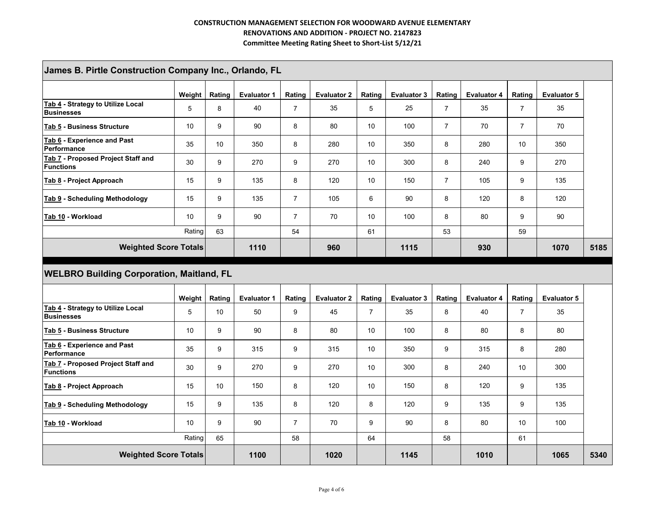| James B. Pirtle Construction Company Inc., Orlando, FL |        |                 |                    |                  |                    |                |                    |                |                    |                |                    |      |
|--------------------------------------------------------|--------|-----------------|--------------------|------------------|--------------------|----------------|--------------------|----------------|--------------------|----------------|--------------------|------|
|                                                        | Weight | Rating          | <b>Evaluator 1</b> | Rating           | <b>Evaluator 2</b> | Rating         | <b>Evaluator 3</b> | Rating         | <b>Evaluator 4</b> | Rating         | <b>Evaluator 5</b> |      |
| Tab 4 - Strategy to Utilize Local<br><b>Businesses</b> | 5      | 8               | 40                 | $\overline{7}$   | 35                 | 5              | 25                 | $\overline{7}$ | 35                 | $\overline{7}$ | 35                 |      |
| Tab 5 - Business Structure                             | 10     | 9               | 90                 | 8                | 80                 | 10             | 100                | $\overline{7}$ | 70                 | $\overline{7}$ | 70                 |      |
| Tab 6 - Experience and Past<br>Performance             | 35     | 10 <sup>1</sup> | 350                | 8                | 280                | 10             | 350                | 8              | 280                | 10             | 350                |      |
| Tab 7 - Proposed Project Staff and<br><b>Functions</b> | 30     | 9               | 270                | 9                | 270                | 10             | 300                | 8              | 240                | 9              | 270                |      |
| Tab 8 - Project Approach                               | 15     | 9               | 135                | 8                | 120                | 10             | 150                | $\overline{7}$ | 105                | 9              | 135                |      |
| Tab 9 - Scheduling Methodology                         | 15     | 9               | 135                | $\overline{7}$   | 105                | 6              | 90                 | 8              | 120                | 8              | 120                |      |
| Tab 10 - Workload                                      | 10     | 9               | 90                 | $\overline{7}$   | 70                 | 10             | 100                | 8              | 80                 | 9              | 90                 |      |
|                                                        | Rating | 63              |                    | 54               |                    | 61             |                    | 53             |                    | 59             |                    |      |
| <b>Weighted Score Totals</b>                           |        |                 | 1110               |                  | 960                |                | 1115               |                | 930                |                | 1070               | 5185 |
| <b>WELBRO Building Corporation, Maitland, FL</b>       |        |                 |                    |                  |                    |                |                    |                |                    |                |                    |      |
|                                                        | Weight | Rating          | <b>Evaluator 1</b> |                  |                    |                |                    |                |                    |                |                    |      |
| Tab 4 - Strategy to Utilize Local<br><b>Businesses</b> | 5      |                 |                    | Rating           | <b>Evaluator 2</b> | Rating         | <b>Evaluator 3</b> | Rating         | <b>Evaluator 4</b> | Rating         | <b>Evaluator 5</b> |      |
|                                                        |        | 10              | 50                 | $\boldsymbol{9}$ | 45                 | $\overline{7}$ | 35                 | 8              | 40                 | $\overline{7}$ | 35                 |      |
| Tab 5 - Business Structure                             | 10     | 9               | 90                 | 8                | 80                 | 10             | 100                | 8              | 80                 | 8              | 80                 |      |
| Tab 6 - Experience and Past<br>Performance             | 35     | 9               | 315                | 9                | 315                | 10             | 350                | 9              | 315                | 8              | 280                |      |
| Tab 7 - Proposed Project Staff and<br><b>Functions</b> | 30     | 9               | 270                | 9                | 270                | 10             | 300                | 8              | 240                | 10             | 300                |      |
| Tab 8 - Project Approach                               | 15     | 10 <sup>1</sup> | 150                | 8                | 120                | 10             | 150                | 8              | 120                | 9              | 135                |      |
| Tab 9 - Scheduling Methodology                         | 15     | 9               | 135                | 8                | 120                | 8              | 120                | 9              | 135                | 9              | 135                |      |
| Tab 10 - Workload                                      | 10     | 9               | 90                 | $\overline{7}$   | 70                 | 9              | 90                 | 8              | 80                 | 10             | 100                |      |
|                                                        | Rating | 65              |                    | 58               |                    | 64             |                    | 58             |                    | 61             |                    |      |